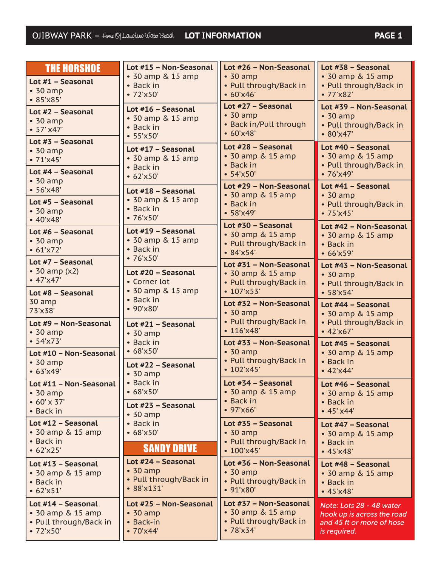| <b>THE HORSHOE</b>                                                            | Lot #15 - Non-Seasonal                                             | Lot #26 - Non-Seasonal                                                              | Lot #38 - Seasonal                                                                             |
|-------------------------------------------------------------------------------|--------------------------------------------------------------------|-------------------------------------------------------------------------------------|------------------------------------------------------------------------------------------------|
| Lot #1 - Seasonal                                                             | • 30 amp & 15 amp                                                  | $\cdot$ 30 amp                                                                      | • 30 amp & 15 amp                                                                              |
| $\cdot$ 30 amp                                                                | • Back in                                                          | • Pull through/Back in                                                              | • Pull through/Back in                                                                         |
| $-85'x85'$                                                                    | •72'x50'                                                           | $• 60'$ x 46'                                                                       | •77'x82'                                                                                       |
| Lot #2 - Seasonal<br>• 30 amp<br>$-57' x47'$                                  | Lot #16 - Seasonal<br>• 30 amp & 15 amp<br>• Back in<br>$-55'x50'$ | Lot #27 - Seasonal<br>$\cdot$ 30 amp<br>• Back in/Pull through<br>• 60'x48'         | Lot #39 - Non-Seasonal<br>$\cdot$ 30 amp<br>• Pull through/Back in<br>• 80'x47'                |
| Lot #3 - Seasonal                                                             | Lot #17 - Seasonal                                                 | Lot #28 - Seasonal                                                                  | Lot #40 - Seasonal                                                                             |
| $\cdot$ 30 amp                                                                | • 30 amp & 15 amp                                                  | • 30 amp & 15 amp                                                                   | • 30 amp & 15 amp                                                                              |
| • 71'x45'                                                                     | • Back in                                                          | • Back in                                                                           | • Pull through/Back in                                                                         |
| Lot #4 - Seasonal                                                             | • 62'x50'                                                          | $-54'x50'$                                                                          | •76'x49'                                                                                       |
| $\cdot$ 30 amp                                                                | Lot #18 - Seasonal                                                 | Lot #29 - Non-Seasonal                                                              | Lot #41 - Seasonal                                                                             |
| $-56'x48'$                                                                    | • 30 amp & 15 amp                                                  | • 30 amp & 15 amp                                                                   | $\cdot$ 30 amp                                                                                 |
| Lot #5 - Seasonal                                                             | • Back in                                                          | • Back in                                                                           | • Pull through/Back in                                                                         |
| $\cdot$ 30 amp                                                                | •76'x50'                                                           | $-58'x49'$                                                                          | • 75'x45'                                                                                      |
| $-40^{\circ}x48$                                                              | Lot #19 - Seasonal                                                 | Lot #30 - Seasonal                                                                  | Lot #42 - Non-Seasonal                                                                         |
| Lot #6 - Seasonal                                                             | • 30 amp & 15 amp                                                  | • 30 amp & 15 amp                                                                   | • 30 amp & 15 amp                                                                              |
| • 30 amp                                                                      | • Back in                                                          | • Pull through/Back in                                                              | • Back in                                                                                      |
| • 61'x72'                                                                     | •76'x50'                                                           | • 84'x54'                                                                           | • 66'x59'                                                                                      |
| Lot #7 - Seasonal<br>$\bullet$ 30 amp (x2)<br>$-47'x47'$<br>Lot #8 - Seasonal | Lot #20 - Seasonal<br>• Corner lot<br>• 30 amp & 15 amp            | Lot #31 - Non-Seasonal<br>• 30 amp & 15 amp<br>• Pull through/Back in<br>• 107'x53' | Lot #43 - Non-Seasonal<br>$\cdot$ 30 amp<br>• Pull through/Back in<br>$-58^{\circ}x54^{\circ}$ |
| 30 amp                                                                        | • Back in                                                          | Lot #32 - Non-Seasonal                                                              | Lot #44 - Seasonal                                                                             |
| 73'x38'                                                                       | $-90'x80'$                                                         | $\cdot$ 30 amp                                                                      | • 30 amp & 15 amp                                                                              |
| Lot #9 - Non-Seasonal                                                         | Lot #21 - Seasonal                                                 | • Pull through/Back in                                                              | • Pull through/Back in                                                                         |
| $\cdot$ 30 amp                                                                | $\cdot$ 30 amp                                                     | • 116'x48'                                                                          | $-42'x67'$                                                                                     |
| $-54'x73'$                                                                    |                                                                    |                                                                                     |                                                                                                |
| Lot #10 - Non-Seasonal<br>$\cdot$ 30 amp<br>• 63'x49'                         | • Back in<br>• 68'x50'<br>Lot #22 - Seasonal                       | Lot #33 - Non-Seasonal<br>$\cdot$ 30 amp<br>• Pull through/Back in<br>• 102'x45'    | Lot #45 - Seasonal<br>• 30 amp & 15 amp<br>• Back in<br>$-42^{\prime}x44^{\prime}$             |
| Lot #11 - Non-Seasonal                                                        | • 30 amp                                                           | Lot #34 - Seasonal                                                                  | Lot #46 - Seasonal                                                                             |
| $\cdot$ 30 amp                                                                | • Back in                                                          | • 30 amp & 15 amp                                                                   | • 30 amp & 15 amp                                                                              |
| $• 60' \times 37'$                                                            | $-68'x50'$                                                         | • Back in                                                                           | • Back in                                                                                      |
| • Back in                                                                     | Lot #23 - Seasonal                                                 | $-97'$ x66'                                                                         | • 45' x44'                                                                                     |
| Lot #12 - Seasonal                                                            | • 30 amp                                                           | Lot #35 - Seasonal                                                                  | Lot #47 - Seasonal                                                                             |
| • 30 amp & 15 amp                                                             | • Back in                                                          | $\cdot$ 30 amp                                                                      | • 30 amp & 15 amp                                                                              |
| • Back in                                                                     | $-68'x50'$                                                         | • Pull through/Back in                                                              | • Back in                                                                                      |
| • 62'x25'                                                                     | <b>SANDY DRIVE</b>                                                 | • 100'x45'                                                                          | $-45'x48'$                                                                                     |
| Lot #13 - Seasonal                                                            | Lot #24 - Seasonal                                                 | Lot #36 - Non-Seasonal                                                              | Lot #48 - Seasonal                                                                             |
| • 30 amp & 15 amp                                                             | $\cdot$ 30 amp                                                     | $\cdot$ 30 amp                                                                      | • 30 amp & 15 amp                                                                              |
| • Back in                                                                     | • Pull through/Back in                                             | • Pull through/Back in                                                              | • Back in                                                                                      |
| • 62'x51'                                                                     | • 88'x131'                                                         | • 91'x80'                                                                           | $-45'x48'$                                                                                     |